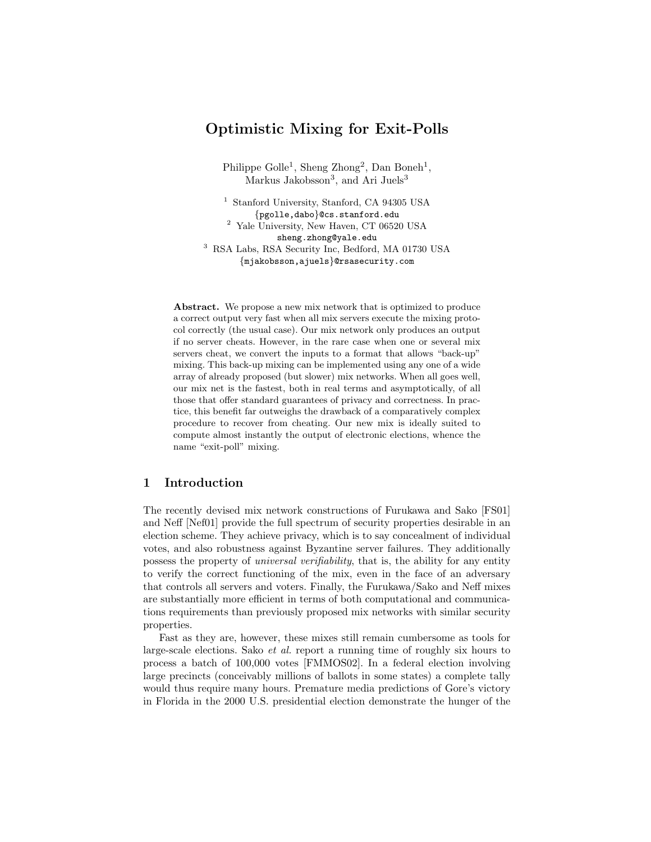# Optimistic Mixing for Exit-Polls

Philippe Golle<sup>1</sup>, Sheng Zhong<sup>2</sup>, Dan Boneh<sup>1</sup>, Markus Jakobsson<sup>3</sup>, and Ari Juels<sup>3</sup>

<sup>1</sup> Stanford University, Stanford, CA 94305 USA {pgolle,dabo}@cs.stanford.edu <sup>2</sup> Yale University, New Haven, CT 06520 USA sheng.zhong@yale.edu <sup>3</sup> RSA Labs, RSA Security Inc, Bedford, MA 01730 USA {mjakobsson,ajuels}@rsasecurity.com

Abstract. We propose a new mix network that is optimized to produce a correct output very fast when all mix servers execute the mixing protocol correctly (the usual case). Our mix network only produces an output if no server cheats. However, in the rare case when one or several mix servers cheat, we convert the inputs to a format that allows "back-up" mixing. This back-up mixing can be implemented using any one of a wide array of already proposed (but slower) mix networks. When all goes well, our mix net is the fastest, both in real terms and asymptotically, of all those that offer standard guarantees of privacy and correctness. In practice, this benefit far outweighs the drawback of a comparatively complex procedure to recover from cheating. Our new mix is ideally suited to compute almost instantly the output of electronic elections, whence the name "exit-poll" mixing.

# 1 Introduction

The recently devised mix network constructions of Furukawa and Sako [FS01] and Neff [Nef01] provide the full spectrum of security properties desirable in an election scheme. They achieve privacy, which is to say concealment of individual votes, and also robustness against Byzantine server failures. They additionally possess the property of universal verifiability, that is, the ability for any entity to verify the correct functioning of the mix, even in the face of an adversary that controls all servers and voters. Finally, the Furukawa/Sako and Neff mixes are substantially more efficient in terms of both computational and communications requirements than previously proposed mix networks with similar security properties.

Fast as they are, however, these mixes still remain cumbersome as tools for large-scale elections. Sako et al. report a running time of roughly six hours to process a batch of 100,000 votes [FMMOS02]. In a federal election involving large precincts (conceivably millions of ballots in some states) a complete tally would thus require many hours. Premature media predictions of Gore's victory in Florida in the 2000 U.S. presidential election demonstrate the hunger of the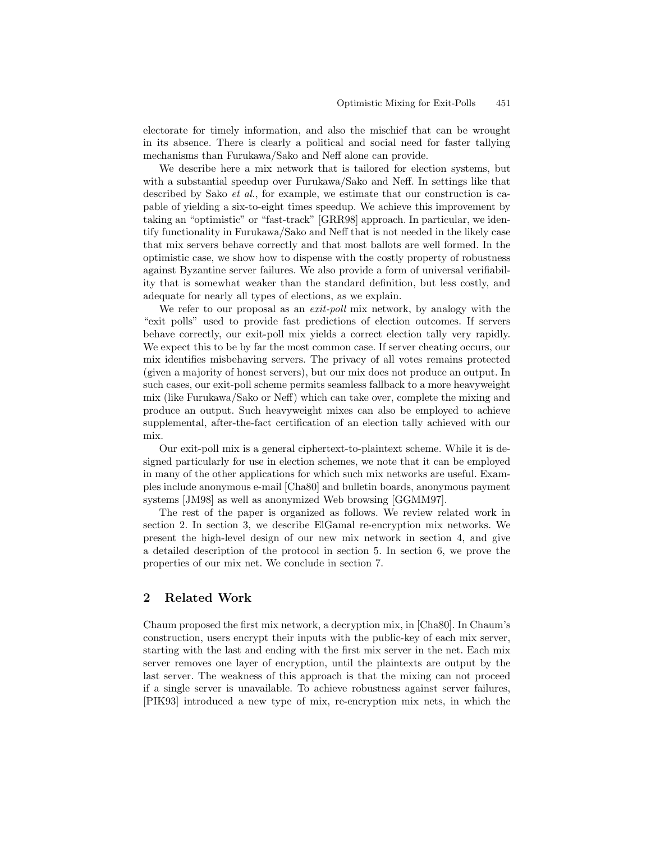electorate for timely information, and also the mischief that can be wrought in its absence. There is clearly a political and social need for faster tallying mechanisms than Furukawa/Sako and Neff alone can provide.

We describe here a mix network that is tailored for election systems, but with a substantial speedup over Furukawa/Sako and Neff. In settings like that described by Sako et al., for example, we estimate that our construction is capable of yielding a six-to-eight times speedup. We achieve this improvement by taking an "optimistic" or "fast-track" [GRR98] approach. In particular, we identify functionality in Furukawa/Sako and Neff that is not needed in the likely case that mix servers behave correctly and that most ballots are well formed. In the optimistic case, we show how to dispense with the costly property of robustness against Byzantine server failures. We also provide a form of universal verifiability that is somewhat weaker than the standard definition, but less costly, and adequate for nearly all types of elections, as we explain.

We refer to our proposal as an *exit-poll* mix network, by analogy with the "exit polls" used to provide fast predictions of election outcomes. If servers behave correctly, our exit-poll mix yields a correct election tally very rapidly. We expect this to be by far the most common case. If server cheating occurs, our mix identifies misbehaving servers. The privacy of all votes remains protected (given a majority of honest servers), but our mix does not produce an output. In such cases, our exit-poll scheme permits seamless fallback to a more heavyweight mix (like Furukawa/Sako or Neff) which can take over, complete the mixing and produce an output. Such heavyweight mixes can also be employed to achieve supplemental, after-the-fact certification of an election tally achieved with our mix.

Our exit-poll mix is a general ciphertext-to-plaintext scheme. While it is designed particularly for use in election schemes, we note that it can be employed in many of the other applications for which such mix networks are useful. Examples include anonymous e-mail [Cha80] and bulletin boards, anonymous payment systems [JM98] as well as anonymized Web browsing [GGMM97].

The rest of the paper is organized as follows. We review related work in section 2. In section 3, we describe ElGamal re-encryption mix networks. We present the high-level design of our new mix network in section 4, and give a detailed description of the protocol in section 5. In section 6, we prove the properties of our mix net. We conclude in section 7.

### 2 Related Work

Chaum proposed the first mix network, a decryption mix, in [Cha80]. In Chaum's construction, users encrypt their inputs with the public-key of each mix server, starting with the last and ending with the first mix server in the net. Each mix server removes one layer of encryption, until the plaintexts are output by the last server. The weakness of this approach is that the mixing can not proceed if a single server is unavailable. To achieve robustness against server failures, [PIK93] introduced a new type of mix, re-encryption mix nets, in which the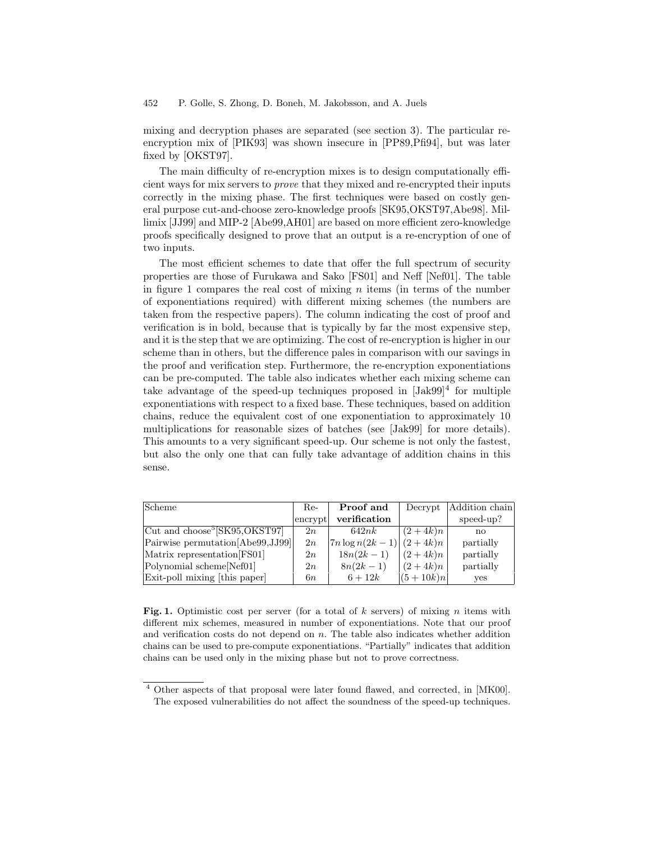#### 452 P. Golle, S. Zhong, D. Boneh, M. Jakobsson, and A. Juels

mixing and decryption phases are separated (see section 3). The particular reencryption mix of [PIK93] was shown insecure in [PP89,Pfi94], but was later fixed by [OKST97].

The main difficulty of re-encryption mixes is to design computationally efficient ways for mix servers to prove that they mixed and re-encrypted their inputs correctly in the mixing phase. The first techniques were based on costly general purpose cut-and-choose zero-knowledge proofs [SK95,OKST97,Abe98]. Millimix [JJ99] and MIP-2 [Abe99,AH01] are based on more efficient zero-knowledge proofs specifically designed to prove that an output is a re-encryption of one of two inputs.

The most efficient schemes to date that offer the full spectrum of security properties are those of Furukawa and Sako [FS01] and Neff [Nef01]. The table in figure 1 compares the real cost of mixing  $n$  items (in terms of the number of exponentiations required) with different mixing schemes (the numbers are taken from the respective papers). The column indicating the cost of proof and verification is in bold, because that is typically by far the most expensive step, and it is the step that we are optimizing. The cost of re-encryption is higher in our scheme than in others, but the difference pales in comparison with our savings in the proof and verification step. Furthermore, the re-encryption exponentiations can be pre-computed. The table also indicates whether each mixing scheme can take advantage of the speed-up techniques proposed in  $[Jak99]$ <sup>4</sup> for multiple exponentiations with respect to a fixed base. These techniques, based on addition chains, reduce the equivalent cost of one exponentiation to approximately 10 multiplications for reasonable sizes of batches (see [Jak99] for more details). This amounts to a very significant speed-up. Our scheme is not only the fastest, but also the only one that can fully take advantage of addition chains in this sense.

| Scheme                                    | $Re-$     | Proof and                                 | Decrypt    | Addition chain |
|-------------------------------------------|-----------|-------------------------------------------|------------|----------------|
|                                           | encrypt   | verification                              |            | speed-up?      |
| Cut and choose <sup>5</sup> [SK95,OKST97] | 2n        | 642nk                                     | $(2+4k)n$  | $\mathbf{n}$   |
| Pairwise permutation [Abe99, JJ99]        | 2n        | $\lfloor 7n \log n(2k-1) \rfloor (2+4k)n$ |            | partially      |
| Matrix representation [FS01]              | 2n        | $18n(2k-1)$                               | $(2+4k)n$  | partially      |
| Polynomial scheme [Nef01]                 | 2n        | $8n(2k-1)$                                | $(2+4k)n$  | partially      |
| Exit-poll mixing [this paper]             | <i>6n</i> | $6+12k$                                   | $(5+10k)n$ | yes            |

Fig. 1. Optimistic cost per server (for a total of k servers) of mixing n items with different mix schemes, measured in number of exponentiations. Note that our proof and verification costs do not depend on n. The table also indicates whether addition chains can be used to pre-compute exponentiations. "Partially" indicates that addition chains can be used only in the mixing phase but not to prove correctness.

<sup>&</sup>lt;sup>4</sup> Other aspects of that proposal were later found flawed, and corrected, in [MK00]. The exposed vulnerabilities do not affect the soundness of the speed-up techniques.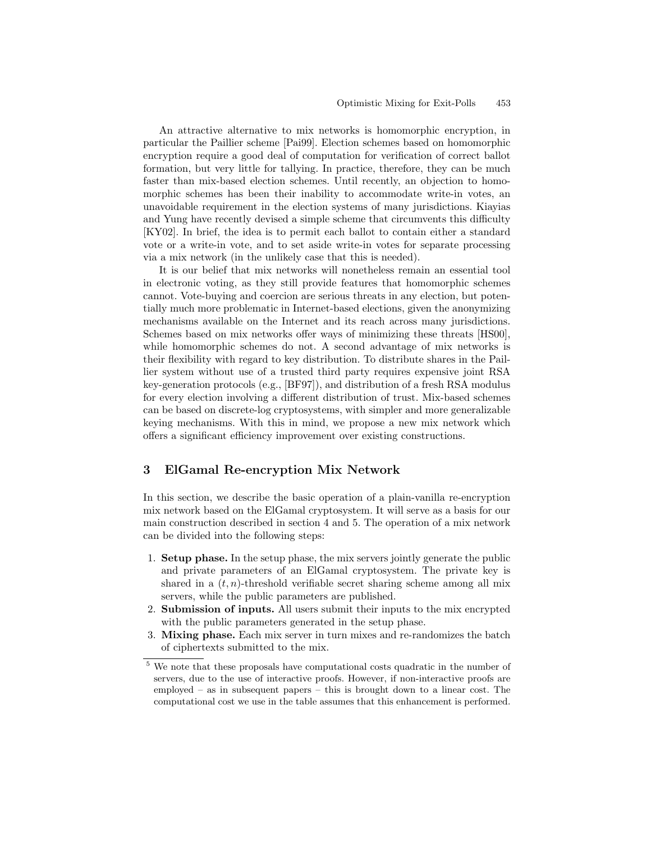An attractive alternative to mix networks is homomorphic encryption, in particular the Paillier scheme [Pai99]. Election schemes based on homomorphic encryption require a good deal of computation for verification of correct ballot formation, but very little for tallying. In practice, therefore, they can be much faster than mix-based election schemes. Until recently, an objection to homomorphic schemes has been their inability to accommodate write-in votes, an unavoidable requirement in the election systems of many jurisdictions. Kiayias and Yung have recently devised a simple scheme that circumvents this difficulty [KY02]. In brief, the idea is to permit each ballot to contain either a standard vote or a write-in vote, and to set aside write-in votes for separate processing via a mix network (in the unlikely case that this is needed).

It is our belief that mix networks will nonetheless remain an essential tool in electronic voting, as they still provide features that homomorphic schemes cannot. Vote-buying and coercion are serious threats in any election, but potentially much more problematic in Internet-based elections, given the anonymizing mechanisms available on the Internet and its reach across many jurisdictions. Schemes based on mix networks offer ways of minimizing these threats [HS00], while homomorphic schemes do not. A second advantage of mix networks is their flexibility with regard to key distribution. To distribute shares in the Paillier system without use of a trusted third party requires expensive joint RSA key-generation protocols (e.g., [BF97]), and distribution of a fresh RSA modulus for every election involving a different distribution of trust. Mix-based schemes can be based on discrete-log cryptosystems, with simpler and more generalizable keying mechanisms. With this in mind, we propose a new mix network which offers a significant efficiency improvement over existing constructions.

# 3 ElGamal Re-encryption Mix Network

In this section, we describe the basic operation of a plain-vanilla re-encryption mix network based on the ElGamal cryptosystem. It will serve as a basis for our main construction described in section 4 and 5. The operation of a mix network can be divided into the following steps:

- 1. Setup phase. In the setup phase, the mix servers jointly generate the public and private parameters of an ElGamal cryptosystem. The private key is shared in a  $(t, n)$ -threshold verifiable secret sharing scheme among all mix servers, while the public parameters are published.
- 2. Submission of inputs. All users submit their inputs to the mix encrypted with the public parameters generated in the setup phase.
- 3. Mixing phase. Each mix server in turn mixes and re-randomizes the batch of ciphertexts submitted to the mix.

<sup>5</sup> We note that these proposals have computational costs quadratic in the number of servers, due to the use of interactive proofs. However, if non-interactive proofs are employed – as in subsequent papers – this is brought down to a linear cost. The computational cost we use in the table assumes that this enhancement is performed.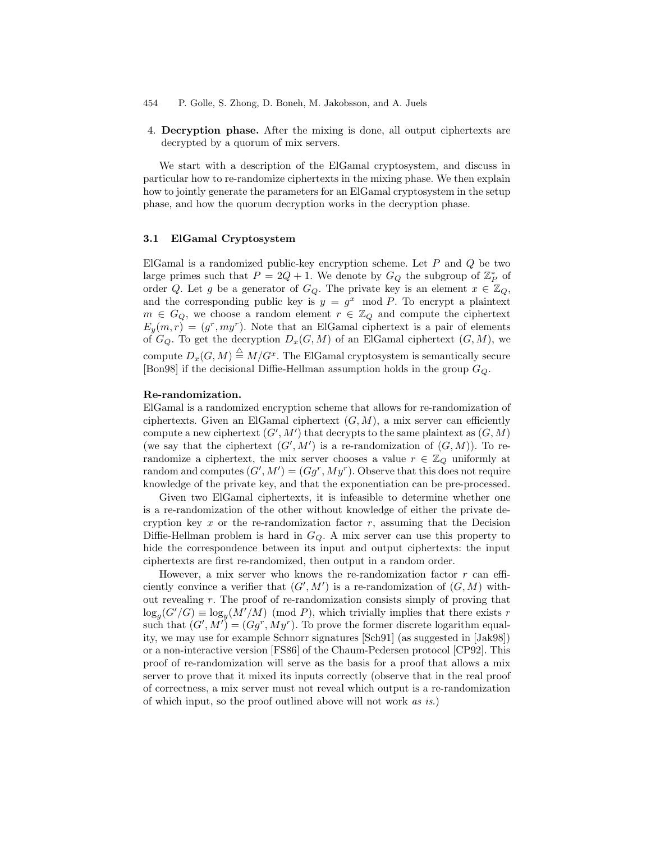- 454 P. Golle, S. Zhong, D. Boneh, M. Jakobsson, and A. Juels
- 4. Decryption phase. After the mixing is done, all output ciphertexts are decrypted by a quorum of mix servers.

We start with a description of the ElGamal cryptosystem, and discuss in particular how to re-randomize ciphertexts in the mixing phase. We then explain how to jointly generate the parameters for an ElGamal cryptosystem in the setup phase, and how the quorum decryption works in the decryption phase.

### 3.1 ElGamal Cryptosystem

ElGamal is a randomized public-key encryption scheme. Let  $P$  and  $Q$  be two large primes such that  $P = 2Q + 1$ . We denote by  $G_Q$  the subgroup of  $\mathbb{Z}_P^*$  of order Q. Let g be a generator of  $G_Q$ . The private key is an element  $x \in \mathbb{Z}_Q$ , and the corresponding public key is  $y = g^x \mod P$ . To encrypt a plaintext  $m \in G_Q$ , we choose a random element  $r \in \mathbb{Z}_Q$  and compute the ciphertext  $E_y(m,r) = (g^r, my^r)$ . Note that an ElGamal ciphertext is a pair of elements of  $G_Q$ . To get the decryption  $D_x(G, M)$  of an ElGamal ciphertext  $(G, M)$ , we compute  $D_x(G, M) \stackrel{\triangle}{=} M/G^x$ . The ElGamal cryptosystem is semantically secure [Bon98] if the decisional Diffie-Hellman assumption holds in the group  $G_Q$ .

#### Re-randomization.

ElGamal is a randomized encryption scheme that allows for re-randomization of ciphertexts. Given an ElGamal ciphertext  $(G, M)$ , a mix server can efficiently compute a new ciphertext  $(G', M')$  that decrypts to the same plaintext as  $(G, M)$ (we say that the ciphertext  $(G', M')$  is a re-randomization of  $(G, M)$ ). To rerandomize a ciphertext, the mix server chooses a value  $r \in \mathbb{Z}_Q$  uniformly at random and computes  $(G', M') = (Gg^r, My^r)$ . Observe that this does not require knowledge of the private key, and that the exponentiation can be pre-processed.

Given two ElGamal ciphertexts, it is infeasible to determine whether one is a re-randomization of the other without knowledge of either the private decryption key  $x$  or the re-randomization factor  $r$ , assuming that the Decision Diffie-Hellman problem is hard in  $G_Q$ . A mix server can use this property to hide the correspondence between its input and output ciphertexts: the input ciphertexts are first re-randomized, then output in a random order.

However, a mix server who knows the re-randomization factor  $r$  can efficiently convince a verifier that  $(G', M')$  is a re-randomization of  $(G, M)$  without revealing r. The proof of re-randomization consists simply of proving that  $\log_g(G'/G) \equiv \log_y(M'/M) \pmod{P}$ , which trivially implies that there exists r such that  $(G', M') = (Gg^r, My^r)$ . To prove the former discrete logarithm equality, we may use for example Schnorr signatures [Sch91] (as suggested in [Jak98]) or a non-interactive version [FS86] of the Chaum-Pedersen protocol [CP92]. This proof of re-randomization will serve as the basis for a proof that allows a mix server to prove that it mixed its inputs correctly (observe that in the real proof of correctness, a mix server must not reveal which output is a re-randomization of which input, so the proof outlined above will not work as is.)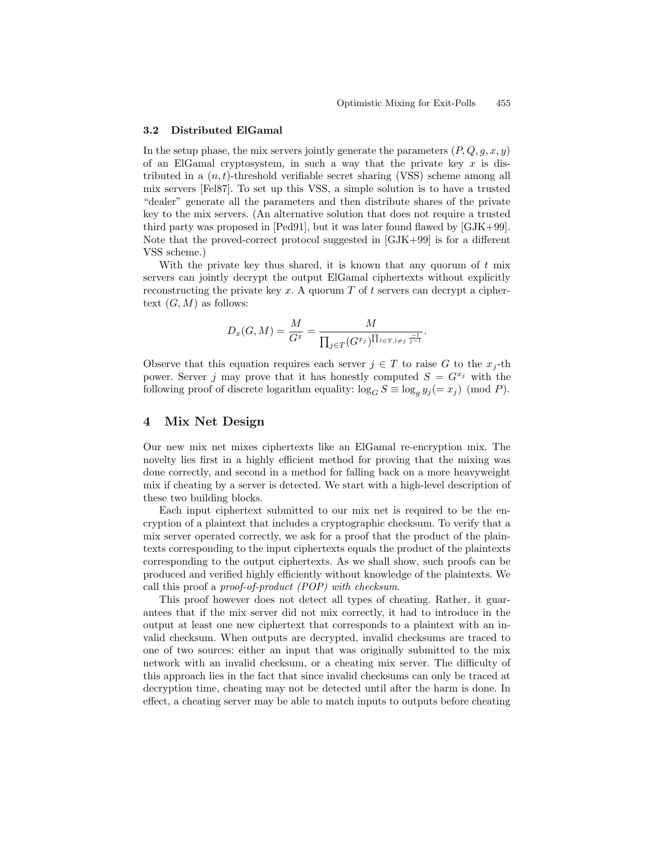#### 3.2 Distributed ElGamal

In the setup phase, the mix servers jointly generate the parameters  $(P, Q, q, x, y)$ of an ElGamal cryptosystem, in such a way that the private key  $x$  is distributed in a  $(n,t)$ -threshold verifiable secret sharing (VSS) scheme among all mix servers [Fel87]. To set up this VSS, a simple solution is to have a trusted "dealer" generate all the parameters and then distribute shares of the private key to the mix servers. (An alternative solution that does not require a trusted third party was proposed in [Ped91], but it was later found flawed by [GJK+99]. Note that the proved-correct protocol suggested in [GJK+99] is for a different VSS scheme.)

With the private key thus shared, it is known that any quorum of  $t$  mix servers can jointly decrypt the output ElGamal ciphertexts without explicitly reconstructing the private key  $x$ . A quorum  $T$  of  $t$  servers can decrypt a ciphertext  $(G, M)$  as follows:

$$
D_x(G, M) = \frac{M}{G^x} = \frac{M}{\prod_{j \in T} (G^{x_j})^{\prod_{l \in T, l \neq j} \frac{-l}{j-l}}}.
$$

Observe that this equation requires each server  $j \in T$  to raise G to the  $x_j$ -th power. Server j may prove that it has honestly computed  $S = G^{x_j}$  with the following proof of discrete logarithm equality:  $\log_G S \equiv \log_q y_j (= x_j \pmod{P}$ .

# 4 Mix Net Design

Our new mix net mixes ciphertexts like an ElGamal re-encryption mix. The novelty lies first in a highly efficient method for proving that the mixing was done correctly, and second in a method for falling back on a more heavyweight mix if cheating by a server is detected. We start with a high-level description of these two building blocks.

Each input ciphertext submitted to our mix net is required to be the encryption of a plaintext that includes a cryptographic checksum. To verify that a mix server operated correctly, we ask for a proof that the product of the plaintexts corresponding to the input ciphertexts equals the product of the plaintexts corresponding to the output ciphertexts. As we shall show, such proofs can be produced and verified highly efficiently without knowledge of the plaintexts. We call this proof a proof-of-product (POP) with checksum.

This proof however does not detect all types of cheating. Rather, it guarantees that if the mix server did not mix correctly, it had to introduce in the output at least one new ciphertext that corresponds to a plaintext with an invalid checksum. When outputs are decrypted, invalid checksums are traced to one of two sources: either an input that was originally submitted to the mix network with an invalid checksum, or a cheating mix server. The difficulty of this approach lies in the fact that since invalid checksums can only be traced at decryption time, cheating may not be detected until after the harm is done. In effect, a cheating server may be able to match inputs to outputs before cheating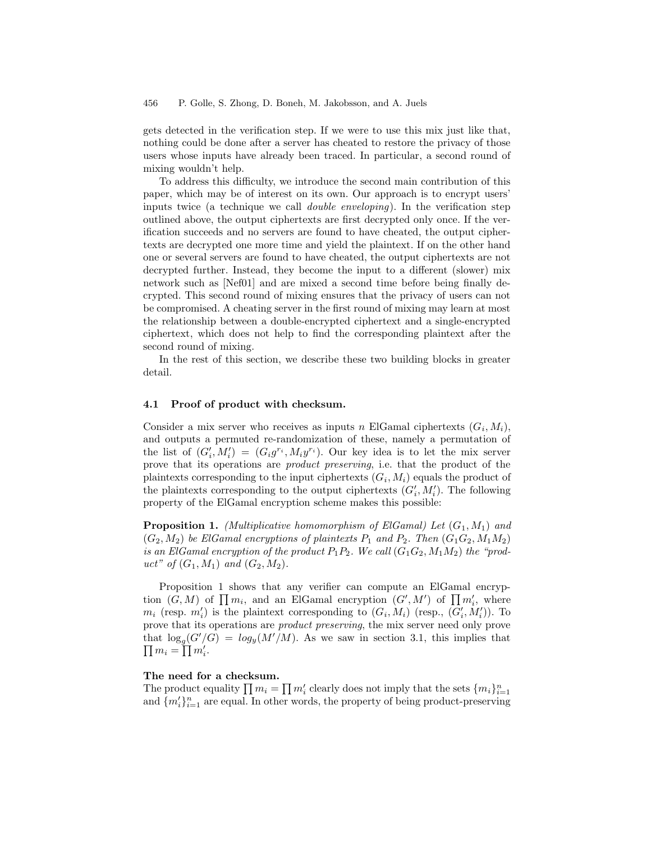gets detected in the verification step. If we were to use this mix just like that, nothing could be done after a server has cheated to restore the privacy of those users whose inputs have already been traced. In particular, a second round of mixing wouldn't help.

To address this difficulty, we introduce the second main contribution of this paper, which may be of interest on its own. Our approach is to encrypt users' inputs twice (a technique we call double enveloping). In the verification step outlined above, the output ciphertexts are first decrypted only once. If the verification succeeds and no servers are found to have cheated, the output ciphertexts are decrypted one more time and yield the plaintext. If on the other hand one or several servers are found to have cheated, the output ciphertexts are not decrypted further. Instead, they become the input to a different (slower) mix network such as [Nef01] and are mixed a second time before being finally decrypted. This second round of mixing ensures that the privacy of users can not be compromised. A cheating server in the first round of mixing may learn at most the relationship between a double-encrypted ciphertext and a single-encrypted ciphertext, which does not help to find the corresponding plaintext after the second round of mixing.

In the rest of this section, we describe these two building blocks in greater detail.

#### 4.1 Proof of product with checksum.

Consider a mix server who receives as inputs n ElGamal ciphertexts  $(G_i, M_i)$ , and outputs a permuted re-randomization of these, namely a permutation of the list of  $(G'_i, M'_i) = (G_i g^{r_i}, M_i y^{r_i})$ . Our key idea is to let the mix server prove that its operations are product preserving, i.e. that the product of the plaintexts corresponding to the input ciphertexts  $(G_i, M_i)$  equals the product of the plaintexts corresponding to the output ciphertexts  $(G'_i, M'_i)$ . The following property of the ElGamal encryption scheme makes this possible:

**Proposition 1.** (Multiplicative homomorphism of ElGamal) Let  $(G_1, M_1)$  and  $(G_2, M_2)$  be ElGamal encryptions of plaintexts  $P_1$  and  $P_2$ . Then  $(G_1G_2, M_1M_2)$ is an ElGamal encryption of the product  $P_1P_2$ . We call  $(G_1G_2, M_1M_2)$  the "product" of  $(G_1, M_1)$  and  $(G_2, M_2)$ .

Proposition 1 shows that any verifier can compute an ElGamal encryption  $(G, M)$  of  $\prod m_i$ , and an ElGamal encryption  $(G', M')$  of  $\prod m'_i$ , where  $m_i$  (resp.  $m'_i$ ) is the plaintext corresponding to  $(G_i, M_i)$  (resp.,  $(G'_i, M'_i)$ ). To prove that its operations are product preserving, the mix server need only prove that  $\log_g(G'/G) = \log_g(M'/M)$ . As we saw in section 3.1, this implies that  $\prod m_i = \prod m'_i.$ 

#### The need for a checksum.

The product equality  $\prod m_i = \prod m'_i$  clearly does not imply that the sets  $\{m_i\}_{i=1}^n$ and  $\{m_i'\}_{i=1}^n$  are equal. In other words, the property of being product-preserving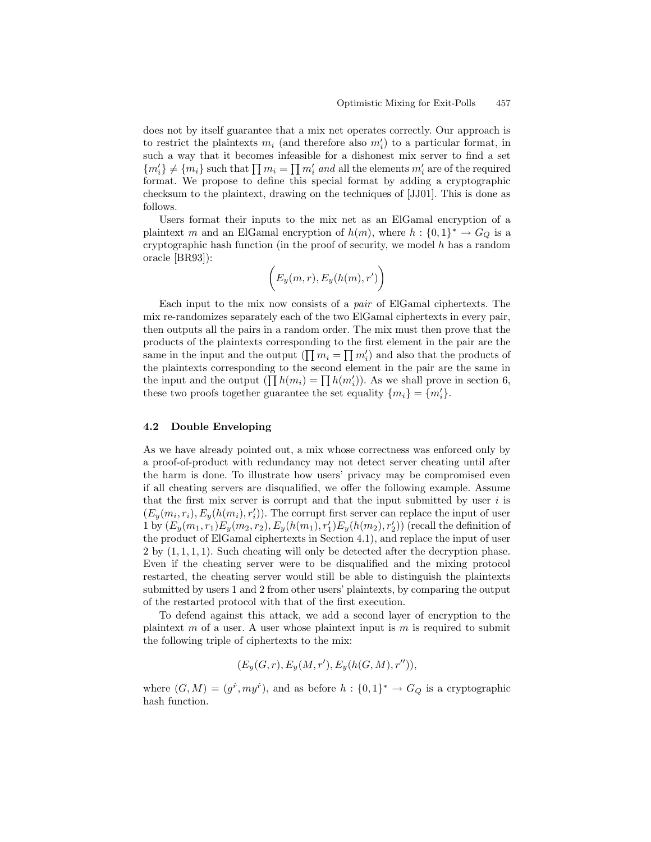does not by itself guarantee that a mix net operates correctly. Our approach is to restrict the plaintexts  $m_i$  (and therefore also  $m'_i$ ) to a particular format, in such a way that it becomes infeasible for a dishonest mix server to find a set  ${m'_i} \neq {m_i}$  such that  $\prod m_i = \prod m'_i$  and all the elements  $m'_i$  are of the required format. We propose to define this special format by adding a cryptographic checksum to the plaintext, drawing on the techniques of [JJ01]. This is done as follows.

Users format their inputs to the mix net as an ElGamal encryption of a plaintext m and an ElGamal encryption of  $h(m)$ , where  $h: \{0,1\}^* \to G_Q$  is a cryptographic hash function (in the proof of security, we model  $h$  has a random oracle [BR93]):

$$
\bigg(E_y(m,r),E_y(h(m),r')\bigg)
$$

Each input to the mix now consists of a pair of ElGamal ciphertexts. The mix re-randomizes separately each of the two ElGamal ciphertexts in every pair, then outputs all the pairs in a random order. The mix must then prove that the products of the plaintexts corresponding to the first element in the pair are the same in the input and the output  $(\prod m_i = \prod m'_i)$  and also that the products of the plaintexts corresponding to the second element in the pair are the same in the input and the output  $(\prod h(m_i) = \prod h(m'_i))$ . As we shall prove in section 6, these two proofs together guarantee the set equality  $\{m_i\} = \{m'_i\}.$ 

#### 4.2 Double Enveloping

As we have already pointed out, a mix whose correctness was enforced only by a proof-of-product with redundancy may not detect server cheating until after the harm is done. To illustrate how users' privacy may be compromised even if all cheating servers are disqualified, we offer the following example. Assume that the first mix server is corrupt and that the input submitted by user  $i$  is  $(E_y(m_i, r_i), E_y(h(m_i), r'_i))$ . The corrupt first server can replace the input of user 1 by  $(E_y(m_1, r_1)E_y(m_2, r_2), E_y(h(m_1), r'_1)E_y(h(m_2), r'_2))$  (recall the definition of the product of ElGamal ciphertexts in Section 4.1), and replace the input of user 2 by (1, 1, 1, 1). Such cheating will only be detected after the decryption phase. Even if the cheating server were to be disqualified and the mixing protocol restarted, the cheating server would still be able to distinguish the plaintexts submitted by users 1 and 2 from other users' plaintexts, by comparing the output of the restarted protocol with that of the first execution.

To defend against this attack, we add a second layer of encryption to the plaintext m of a user. A user whose plaintext input is m is required to submit the following triple of ciphertexts to the mix:

$$
(E_y(G, r), E_y(M, r'), E_y(h(G, M), r'')),
$$

where  $(G, M) = (g^{\hat{r}}, my^{\hat{r}})$ , and as before  $h: \{0, 1\}^* \to G_Q$  is a cryptographic hash function.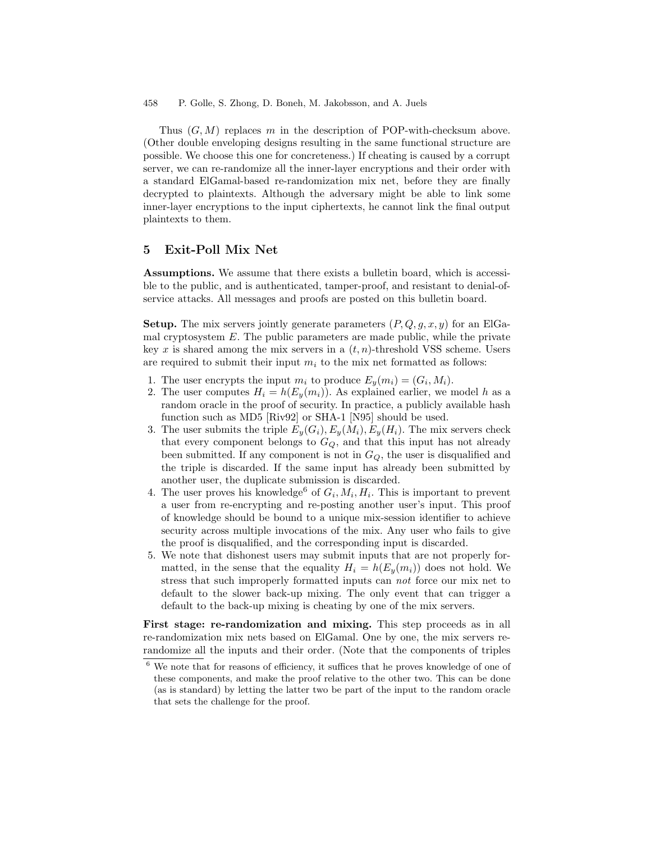458 P. Golle, S. Zhong, D. Boneh, M. Jakobsson, and A. Juels

Thus  $(G, M)$  replaces m in the description of POP-with-checksum above. (Other double enveloping designs resulting in the same functional structure are possible. We choose this one for concreteness.) If cheating is caused by a corrupt server, we can re-randomize all the inner-layer encryptions and their order with a standard ElGamal-based re-randomization mix net, before they are finally decrypted to plaintexts. Although the adversary might be able to link some inner-layer encryptions to the input ciphertexts, he cannot link the final output plaintexts to them.

### 5 Exit-Poll Mix Net

Assumptions. We assume that there exists a bulletin board, which is accessible to the public, and is authenticated, tamper-proof, and resistant to denial-ofservice attacks. All messages and proofs are posted on this bulletin board.

**Setup.** The mix servers jointly generate parameters  $(P, Q, g, x, y)$  for an ElGamal cryptosystem  $E$ . The public parameters are made public, while the private key x is shared among the mix servers in a  $(t, n)$ -threshold VSS scheme. Users are required to submit their input  $m_i$  to the mix net formatted as follows:

- 1. The user encrypts the input  $m_i$  to produce  $E_y(m_i) = (G_i, M_i)$ .
- 2. The user computes  $H_i = h(E_u(m_i))$ . As explained earlier, we model h as a random oracle in the proof of security. In practice, a publicly available hash function such as MD5 [Riv92] or SHA-1 [N95] should be used.
- 3. The user submits the triple  $E_y(G_i), E_y(M_i), E_y(H_i)$ . The mix servers check that every component belongs to  $G_Q$ , and that this input has not already been submitted. If any component is not in  $G_Q$ , the user is disqualified and the triple is discarded. If the same input has already been submitted by another user, the duplicate submission is discarded.
- 4. The user proves his knowledge<sup>6</sup> of  $G_i, M_i, H_i$ . This is important to prevent a user from re-encrypting and re-posting another user's input. This proof of knowledge should be bound to a unique mix-session identifier to achieve security across multiple invocations of the mix. Any user who fails to give the proof is disqualified, and the corresponding input is discarded.
- 5. We note that dishonest users may submit inputs that are not properly formatted, in the sense that the equality  $H_i = h(E_i(m_i))$  does not hold. We stress that such improperly formatted inputs can not force our mix net to default to the slower back-up mixing. The only event that can trigger a default to the back-up mixing is cheating by one of the mix servers.

First stage: re-randomization and mixing. This step proceeds as in all re-randomization mix nets based on ElGamal. One by one, the mix servers rerandomize all the inputs and their order. (Note that the components of triples

<sup>6</sup> We note that for reasons of efficiency, it suffices that he proves knowledge of one of these components, and make the proof relative to the other two. This can be done (as is standard) by letting the latter two be part of the input to the random oracle that sets the challenge for the proof.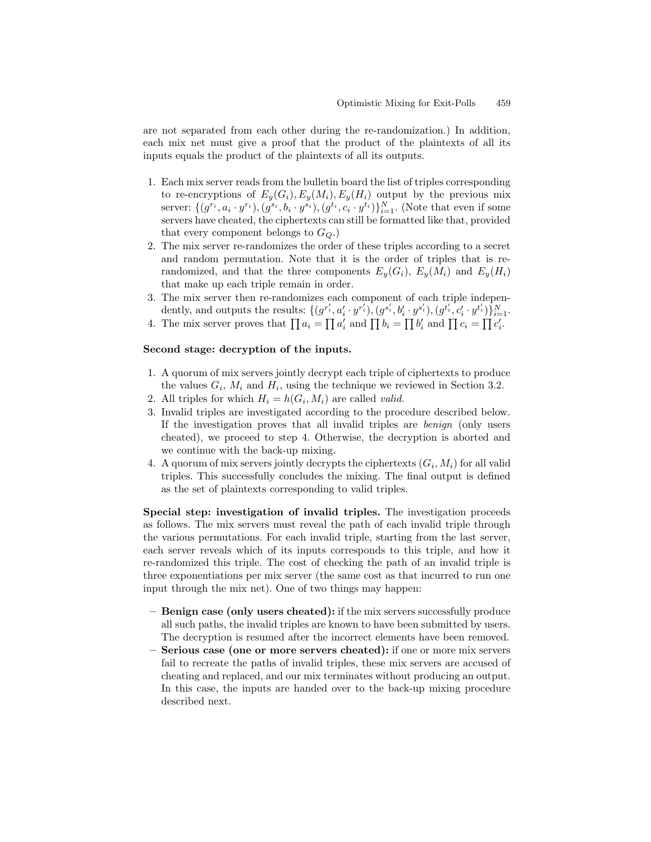are not separated from each other during the re-randomization.) In addition, each mix net must give a proof that the product of the plaintexts of all its inputs equals the product of the plaintexts of all its outputs.

- 1. Each mix server reads from the bulletin board the list of triples corresponding to re-encryptions of  $E_y(G_i), E_y(M_i), E_y(H_i)$  output by the previous mix server:  $\{(g^{r_i}, a_i \cdot y^{r_i}), (g^{s_i}, b_i \cdot y^{s_i}), (g^{t_i}, c_i \cdot y^{t_i})\}_{i=1}^N$ . (Note that even if some servers have cheated, the ciphertexts can still be formatted like that, provided that every component belongs to  $G_Q$ .)
- 2. The mix server re-randomizes the order of these triples according to a secret and random permutation. Note that it is the order of triples that is rerandomized, and that the three components  $E_y(G_i)$ ,  $E_y(M_i)$  and  $E_y(H_i)$ that make up each triple remain in order.
- 3. The mix server then re-randomizes each component of each triple independently, and outputs the results:  $\{(g^{r'_i}, a'_i \cdot y^{r'_i}), (g^{s'_i}, b'_i \cdot y^{s'_i}), (g^{t'_i}, c'_i \cdot y^{t'_i})\}_{i=1}^N$ .
- 4. The mix server proves that  $\prod a_i = \prod a'_i$  and  $\prod b_i = \prod b'_i$  and  $\prod c_i = \prod c'_i$ .

### Second stage: decryption of the inputs.

- 1. A quorum of mix servers jointly decrypt each triple of ciphertexts to produce the values  $G_i$ ,  $M_i$  and  $H_i$ , using the technique we reviewed in Section 3.2.
- 2. All triples for which  $H_i = h(G_i, M_i)$  are called *valid*.
- 3. Invalid triples are investigated according to the procedure described below. If the investigation proves that all invalid triples are benign (only users cheated), we proceed to step 4. Otherwise, the decryption is aborted and we continue with the back-up mixing.
- 4. A quorum of mix servers jointly decrypts the ciphertexts  $(G_i, M_i)$  for all valid triples. This successfully concludes the mixing. The final output is defined as the set of plaintexts corresponding to valid triples.

Special step: investigation of invalid triples. The investigation proceeds as follows. The mix servers must reveal the path of each invalid triple through the various permutations. For each invalid triple, starting from the last server, each server reveals which of its inputs corresponds to this triple, and how it re-randomized this triple. The cost of checking the path of an invalid triple is three exponentiations per mix server (the same cost as that incurred to run one input through the mix net). One of two things may happen:

- Benign case (only users cheated): if the mix servers successfully produce all such paths, the invalid triples are known to have been submitted by users. The decryption is resumed after the incorrect elements have been removed.
- Serious case (one or more servers cheated): if one or more mix servers fail to recreate the paths of invalid triples, these mix servers are accused of cheating and replaced, and our mix terminates without producing an output. In this case, the inputs are handed over to the back-up mixing procedure described next.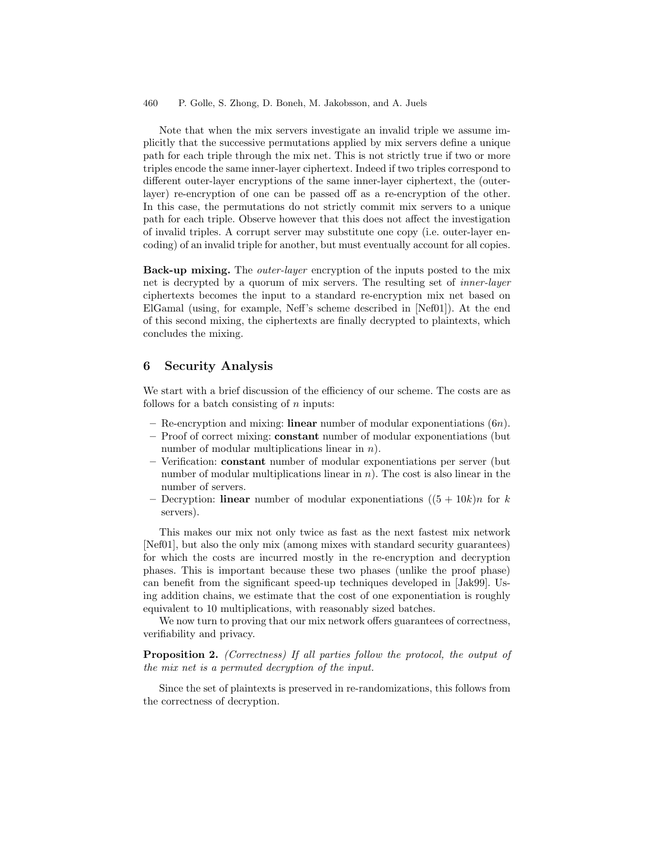460 P. Golle, S. Zhong, D. Boneh, M. Jakobsson, and A. Juels

Note that when the mix servers investigate an invalid triple we assume implicitly that the successive permutations applied by mix servers define a unique path for each triple through the mix net. This is not strictly true if two or more triples encode the same inner-layer ciphertext. Indeed if two triples correspond to different outer-layer encryptions of the same inner-layer ciphertext, the (outerlayer) re-encryption of one can be passed off as a re-encryption of the other. In this case, the permutations do not strictly commit mix servers to a unique path for each triple. Observe however that this does not affect the investigation of invalid triples. A corrupt server may substitute one copy (i.e. outer-layer encoding) of an invalid triple for another, but must eventually account for all copies.

Back-up mixing. The outer-layer encryption of the inputs posted to the mix net is decrypted by a quorum of mix servers. The resulting set of inner-layer ciphertexts becomes the input to a standard re-encryption mix net based on ElGamal (using, for example, Neff's scheme described in [Nef01]). At the end of this second mixing, the ciphertexts are finally decrypted to plaintexts, which concludes the mixing.

## 6 Security Analysis

We start with a brief discussion of the efficiency of our scheme. The costs are as follows for a batch consisting of  $n$  inputs:

- Re-encryption and mixing: **linear** number of modular exponentiations  $(6n)$ .
- Proof of correct mixing: constant number of modular exponentiations (but number of modular multiplications linear in  $n$ ).
- Verification: constant number of modular exponentiations per server (but number of modular multiplications linear in  $n$ ). The cost is also linear in the number of servers.
- Decryption: linear number of modular exponentiations  $((5 + 10k)n$  for k servers).

This makes our mix not only twice as fast as the next fastest mix network [Nef01], but also the only mix (among mixes with standard security guarantees) for which the costs are incurred mostly in the re-encryption and decryption phases. This is important because these two phases (unlike the proof phase) can benefit from the significant speed-up techniques developed in [Jak99]. Using addition chains, we estimate that the cost of one exponentiation is roughly equivalent to 10 multiplications, with reasonably sized batches.

We now turn to proving that our mix network offers guarantees of correctness, verifiability and privacy.

Proposition 2. (Correctness) If all parties follow the protocol, the output of the mix net is a permuted decryption of the input.

Since the set of plaintexts is preserved in re-randomizations, this follows from the correctness of decryption.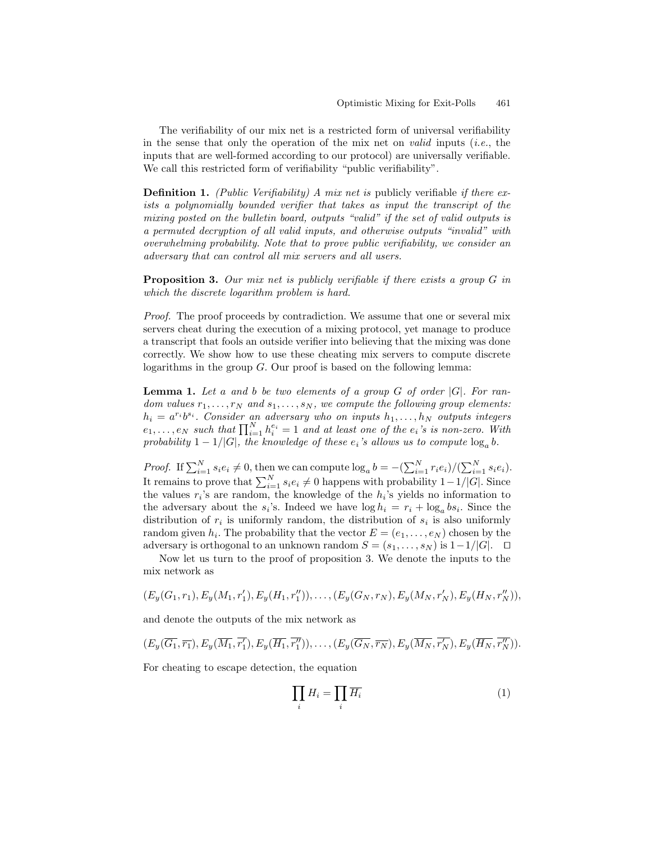The verifiability of our mix net is a restricted form of universal verifiability in the sense that only the operation of the mix net on *valid* inputs (*i.e.*, the inputs that are well-formed according to our protocol) are universally verifiable. We call this restricted form of verifiability "public verifiability".

**Definition 1.** (Public Verifiability) A mix net is publicly verifiable if there exists a polynomially bounded verifier that takes as input the transcript of the mixing posted on the bulletin board, outputs "valid" if the set of valid outputs is a permuted decryption of all valid inputs, and otherwise outputs "invalid" with overwhelming probability. Note that to prove public verifiability, we consider an adversary that can control all mix servers and all users.

**Proposition 3.** Our mix net is publicly verifiable if there exists a group  $G$  in which the discrete logarithm problem is hard.

Proof. The proof proceeds by contradiction. We assume that one or several mix servers cheat during the execution of a mixing protocol, yet manage to produce a transcript that fools an outside verifier into believing that the mixing was done correctly. We show how to use these cheating mix servers to compute discrete logarithms in the group  $G$ . Our proof is based on the following lemma:

**Lemma 1.** Let a and b be two elements of a group  $G$  of order  $|G|$ . For random values  $r_1, \ldots, r_N$  and  $s_1, \ldots, s_N$ , we compute the following group elements:  $h_i = a^{r_i}b^{s_i}$ . Consider an adversary who on inputs  $h_1, \ldots, h_N$  outputs integers  $e_1, \ldots, e_N$  such that  $\prod_{i=1}^N h_i^{e_i} = 1$  and at least one of the  $e_i$ 's is non-zero. With probability  $1-1/|G|$ , the knowledge of these  $e_i$ 's allows us to compute  $\log_a b$ .

*Proof.* If  $\sum_{i=1}^{N} s_i e_i \neq 0$ , then we can compute  $\log_a b = -\left(\sum_{i=1}^{N} r_i e_i\right) / \left(\sum_{i=1}^{N} s_i e_i\right)$ . It remains to prove that  $\sum_{i=1}^{N} s_i e_i \neq 0$  happens with probability  $1-1/|G|$ . Since the values  $r_i$ 's are random, the knowledge of the  $h_i$ 's yields no information to the adversary about the  $s_i$ 's. Indeed we have  $\log h_i = r_i + \log_a bs_i$ . Since the distribution of  $r_i$  is uniformly random, the distribution of  $s_i$  is also uniformly random given  $h_i$ . The probability that the vector  $E = (e_1, \ldots, e_N)$  chosen by the adversary is orthogonal to an unknown random  $S = (s_1, \ldots, s_N)$  is  $1-1/|G|$ .  $\Box$ 

Now let us turn to the proof of proposition 3. We denote the inputs to the mix network as

$$
(E_y(G_1,r_1),E_y(M_1,r'_1),E_y(H_1,r''_1)),\ldots,(E_y(G_N,r_N),E_y(M_N,r'_N),E_y(H_N,r''_N)),
$$

and denote the outputs of the mix network as

$$
(E_y(\overline{G_1}, \overline{r_1}), E_y(\overline{M_1}, \overline{r'_1}), E_y(\overline{H_1}, \overline{r''_1})), \ldots, (E_y(\overline{G_N}, \overline{r_N}), E_y(\overline{M_N}, \overline{r'_N}), E_y(\overline{H_N}, \overline{r''_N})).
$$

For cheating to escape detection, the equation

$$
\prod_i H_i = \prod_i \overline{H_i} \tag{1}
$$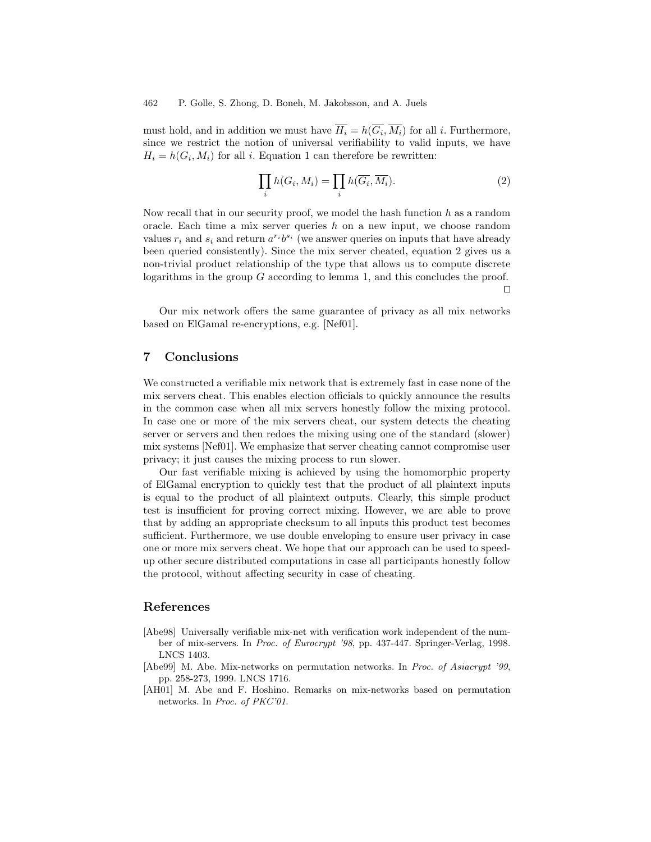must hold, and in addition we must have  $H_i = h(G_i, M_i)$  for all i. Furthermore, since we restrict the notion of universal verifiability to valid inputs, we have  $H_i = h(G_i, M_i)$  for all i. Equation 1 can therefore be rewritten:

$$
\prod_{i} h(G_i, M_i) = \prod_{i} h(\overline{G_i}, \overline{M_i}).
$$
\n(2)

Now recall that in our security proof, we model the hash function  $h$  as a random oracle. Each time a mix server queries  $h$  on a new input, we choose random values  $r_i$  and  $s_i$  and return  $a^{r_i}b^{s_i}$  (we answer queries on inputs that have already been queried consistently). Since the mix server cheated, equation 2 gives us a non-trivial product relationship of the type that allows us to compute discrete logarithms in the group  $G$  according to lemma 1, and this concludes the proof.  $\Box$ 

Our mix network offers the same guarantee of privacy as all mix networks based on ElGamal re-encryptions, e.g. [Nef01].

# 7 Conclusions

We constructed a verifiable mix network that is extremely fast in case none of the mix servers cheat. This enables election officials to quickly announce the results in the common case when all mix servers honestly follow the mixing protocol. In case one or more of the mix servers cheat, our system detects the cheating server or servers and then redoes the mixing using one of the standard (slower) mix systems [Nef01]. We emphasize that server cheating cannot compromise user privacy; it just causes the mixing process to run slower.

Our fast verifiable mixing is achieved by using the homomorphic property of ElGamal encryption to quickly test that the product of all plaintext inputs is equal to the product of all plaintext outputs. Clearly, this simple product test is insufficient for proving correct mixing. However, we are able to prove that by adding an appropriate checksum to all inputs this product test becomes sufficient. Furthermore, we use double enveloping to ensure user privacy in case one or more mix servers cheat. We hope that our approach can be used to speedup other secure distributed computations in case all participants honestly follow the protocol, without affecting security in case of cheating.

### References

- [Abe98] Universally verifiable mix-net with verification work independent of the number of mix-servers. In Proc. of Eurocrypt '98, pp. 437-447. Springer-Verlag, 1998. LNCS 1403.
- [Abe99] M. Abe. Mix-networks on permutation networks. In Proc. of Asiacrypt '99, pp. 258-273, 1999. LNCS 1716.
- [AH01] M. Abe and F. Hoshino. Remarks on mix-networks based on permutation networks. In Proc. of PKC'01.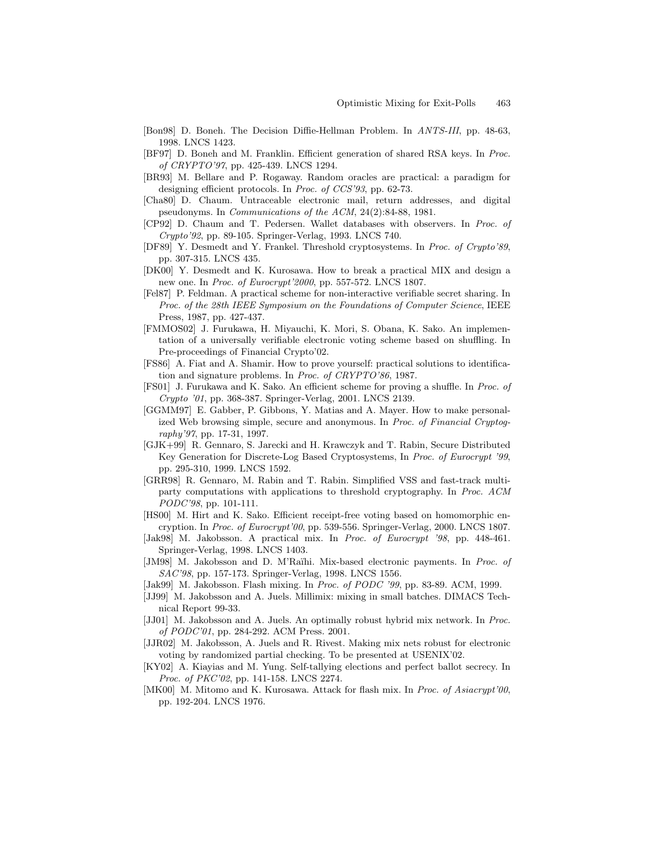- [Bon98] D. Boneh. The Decision Diffie-Hellman Problem. In ANTS-III, pp. 48-63, 1998. LNCS 1423.
- [BF97] D. Boneh and M. Franklin. Efficient generation of shared RSA keys. In Proc. of CRYPTO'97, pp. 425-439. LNCS 1294.
- [BR93] M. Bellare and P. Rogaway. Random oracles are practical: a paradigm for designing efficient protocols. In Proc. of CCS'93, pp. 62-73.
- [Cha80] D. Chaum. Untraceable electronic mail, return addresses, and digital pseudonyms. In Communications of the ACM, 24(2):84-88, 1981.
- [CP92] D. Chaum and T. Pedersen. Wallet databases with observers. In Proc. of Crypto'92, pp. 89-105. Springer-Verlag, 1993. LNCS 740.
- [DF89] Y. Desmedt and Y. Frankel. Threshold cryptosystems. In Proc. of Crypto'89, pp. 307-315. LNCS 435.
- [DK00] Y. Desmedt and K. Kurosawa. How to break a practical MIX and design a new one. In Proc. of Eurocrypt'2000, pp. 557-572. LNCS 1807.
- [Fel87] P. Feldman. A practical scheme for non-interactive verifiable secret sharing. In Proc. of the 28th IEEE Symposium on the Foundations of Computer Science, IEEE Press, 1987, pp. 427-437.
- [FMMOS02] J. Furukawa, H. Miyauchi, K. Mori, S. Obana, K. Sako. An implementation of a universally verifiable electronic voting scheme based on shuffling. In Pre-proceedings of Financial Crypto'02.
- [FS86] A. Fiat and A. Shamir. How to prove yourself: practical solutions to identification and signature problems. In Proc. of CRYPTO'86, 1987.
- [FS01] J. Furukawa and K. Sako. An efficient scheme for proving a shuffle. In Proc. of Crypto '01, pp. 368-387. Springer-Verlag, 2001. LNCS 2139.
- [GGMM97] E. Gabber, P. Gibbons, Y. Matias and A. Mayer. How to make personalized Web browsing simple, secure and anonymous. In Proc. of Financial Cryptography'97, pp. 17-31, 1997.
- [GJK+99] R. Gennaro, S. Jarecki and H. Krawczyk and T. Rabin, Secure Distributed Key Generation for Discrete-Log Based Cryptosystems, In Proc. of Eurocrypt '99, pp. 295-310, 1999. LNCS 1592.
- [GRR98] R. Gennaro, M. Rabin and T. Rabin. Simplified VSS and fast-track multiparty computations with applications to threshold cryptography. In Proc. ACM PODC'98, pp. 101-111.
- [HS00] M. Hirt and K. Sako. Efficient receipt-free voting based on homomorphic encryption. In Proc. of Eurocrypt'00, pp. 539-556. Springer-Verlag, 2000. LNCS 1807.
- [Jak98] M. Jakobsson. A practical mix. In Proc. of Eurocrypt '98, pp. 448-461. Springer-Verlag, 1998. LNCS 1403.
- [JM98] M. Jakobsson and D. M'Raïhi. Mix-based electronic payments. In Proc. of SAC'98, pp. 157-173. Springer-Verlag, 1998. LNCS 1556.
- [Jak99] M. Jakobsson. Flash mixing. In Proc. of PODC '99, pp. 83-89. ACM, 1999.
- [JJ99] M. Jakobsson and A. Juels. Millimix: mixing in small batches. DIMACS Technical Report 99-33.
- [JJ01] M. Jakobsson and A. Juels. An optimally robust hybrid mix network. In Proc. of PODC'01, pp. 284-292. ACM Press. 2001.
- [JJR02] M. Jakobsson, A. Juels and R. Rivest. Making mix nets robust for electronic voting by randomized partial checking. To be presented at USENIX'02.
- [KY02] A. Kiayias and M. Yung. Self-tallying elections and perfect ballot secrecy. In Proc. of PKC'02, pp. 141-158. LNCS 2274.
- [MK00] M. Mitomo and K. Kurosawa. Attack for flash mix. In *Proc. of Asiacrypt'00*, pp. 192-204. LNCS 1976.